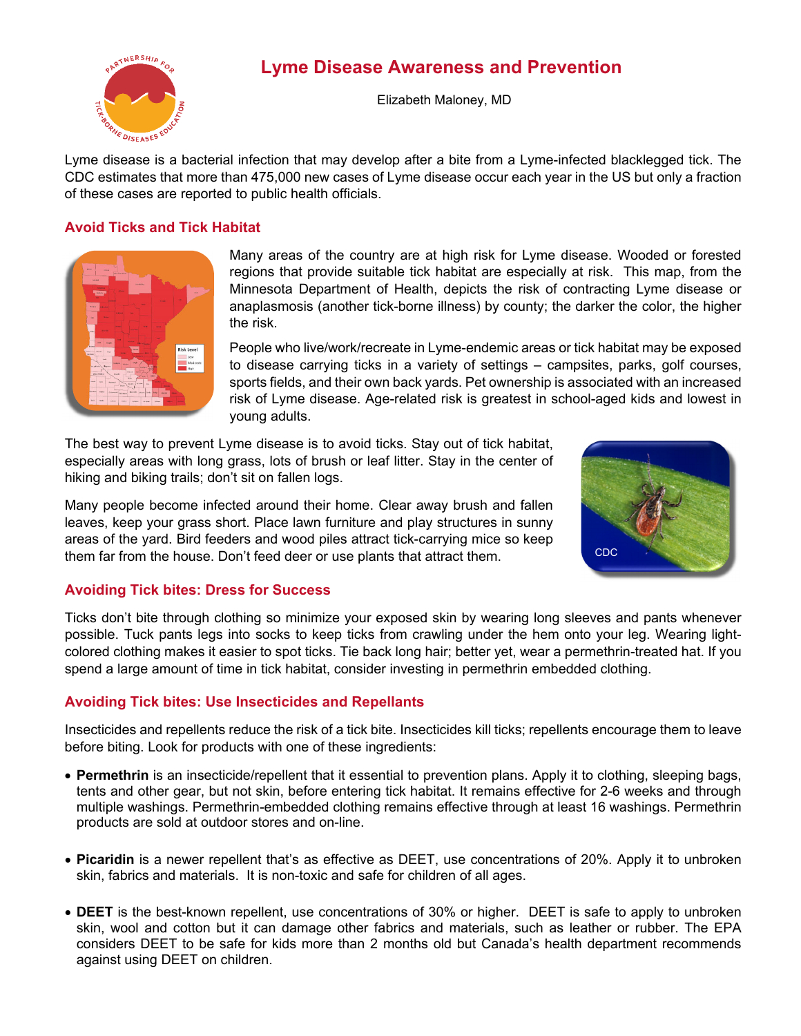



Elizabeth Maloney, MD

Lyme disease is a bacterial infection that may develop after a bite from a Lyme-infected blacklegged tick. The CDC estimates that more than 475,000 new cases of Lyme disease occur each year in the US but only a fraction of these cases are reported to public health officials.

# **Avoid Ticks and Tick Habitat**



Many areas of the country are at high risk for Lyme disease. Wooded or forested regions that provide suitable tick habitat are especially at risk. This map, from the Minnesota Department of Health, depicts the risk of contracting Lyme disease or anaplasmosis (another tick-borne illness) by county; the darker the color, the higher the risk.

People who live/work/recreate in Lyme-endemic areas or tick habitat may be exposed to disease carrying ticks in a variety of settings – campsites, parks, golf courses, sports fields, and their own back yards. Pet ownership is associated with an increased risk of Lyme disease. Age-related risk is greatest in school-aged kids and lowest in young adults.

The best way to prevent Lyme disease is to avoid ticks. Stay out of tick habitat, especially areas with long grass, lots of brush or leaf litter. Stay in the center of hiking and biking trails; don't sit on fallen logs.

Many people become infected around their home. Clear away brush and fallen leaves, keep your grass short. Place lawn furniture and play structures in sunny areas of the yard. Bird feeders and wood piles attract tick-carrying mice so keep them far from the house. Don't feed deer or use plants that attract them.



#### **Avoiding Tick bites: Dress for Success**

Ticks don't bite through clothing so minimize your exposed skin by wearing long sleeves and pants whenever possible. Tuck pants legs into socks to keep ticks from crawling under the hem onto your leg. Wearing lightcolored clothing makes it easier to spot ticks. Tie back long hair; better yet, wear a permethrin-treated hat. If you spend a large amount of time in tick habitat, consider investing in permethrin embedded clothing.

#### **Avoiding Tick bites: Use Insecticides and Repellants**

Insecticides and repellents reduce the risk of a tick bite. Insecticides kill ticks; repellents encourage them to leave before biting. Look for products with one of these ingredients:

- **Permethrin** is an insecticide/repellent that it essential to prevention plans. Apply it to clothing, sleeping bags, tents and other gear, but not skin, before entering tick habitat. It remains effective for 2-6 weeks and through multiple washings. Permethrin-embedded clothing remains effective through at least 16 washings. Permethrin products are sold at outdoor stores and on-line.
- **Picaridin** is a newer repellent that's as effective as DEET, use concentrations of 20%. Apply it to unbroken skin, fabrics and materials. It is non-toxic and safe for children of all ages.
- **DEET** is the best-known repellent, use concentrations of 30% or higher. DEET is safe to apply to unbroken skin, wool and cotton but it can damage other fabrics and materials, such as leather or rubber. The EPA considers DEET to be safe for kids more than 2 months old but Canada's health department recommends against using DEET on children.